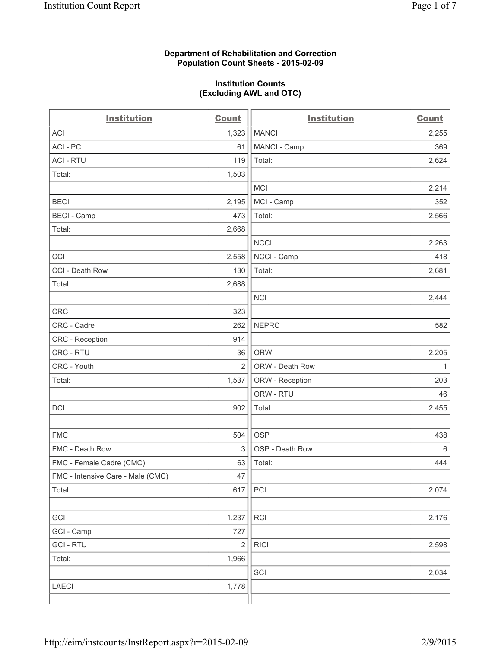### **Department of Rehabilitation and Correction Population Count Sheets - 2015-02-09**

### **Institution Counts (Excluding AWL and OTC)**

| <b>Institution</b>                | <b>Count</b>   | <b>Institution</b> | <b>Count</b> |
|-----------------------------------|----------------|--------------------|--------------|
| <b>ACI</b>                        | 1,323          | <b>MANCI</b>       | 2,255        |
| ACI-PC                            | 61             | MANCI - Camp       | 369          |
| <b>ACI - RTU</b>                  | 119            | Total:             | 2,624        |
| Total:                            | 1,503          |                    |              |
|                                   |                | MCI                | 2,214        |
| <b>BECI</b>                       | 2,195          | MCI - Camp         | 352          |
| <b>BECI</b> - Camp                | 473            | Total:             | 2,566        |
| Total:                            | 2,668          |                    |              |
|                                   |                | <b>NCCI</b>        | 2,263        |
| CCI                               | 2,558          | NCCI - Camp        | 418          |
| CCI - Death Row                   | 130            | Total:             | 2,681        |
| Total:                            | 2,688          |                    |              |
|                                   |                | <b>NCI</b>         | 2,444        |
| <b>CRC</b>                        | 323            |                    |              |
| CRC - Cadre                       | 262            | <b>NEPRC</b>       | 582          |
| CRC - Reception                   | 914            |                    |              |
| CRC - RTU                         | 36             | <b>ORW</b>         | 2,205        |
| CRC - Youth                       | $\overline{2}$ | ORW - Death Row    | 1            |
| Total:                            | 1,537          | ORW - Reception    | 203          |
|                                   |                | ORW - RTU          | 46           |
| DCI                               | 902            | Total:             | 2,455        |
|                                   |                |                    |              |
| <b>FMC</b>                        | 504            | <b>OSP</b>         | 438          |
| FMC - Death Row                   | $\mathsf 3$    | OSP - Death Row    | 6            |
| FMC - Female Cadre (CMC)          | 63             | Total:             | 444          |
| FMC - Intensive Care - Male (CMC) | 47             |                    |              |
| Total:                            | 617            | PCI                | 2,074        |
|                                   |                |                    |              |
| GCI                               | 1,237          | <b>RCI</b>         | 2,176        |
| GCI - Camp                        | 727            |                    |              |
| <b>GCI-RTU</b>                    | $\sqrt{2}$     | <b>RICI</b>        | 2,598        |
| Total:                            | 1,966          |                    |              |
|                                   |                | SCI                | 2,034        |
| LAECI                             | 1,778          |                    |              |
|                                   |                |                    |              |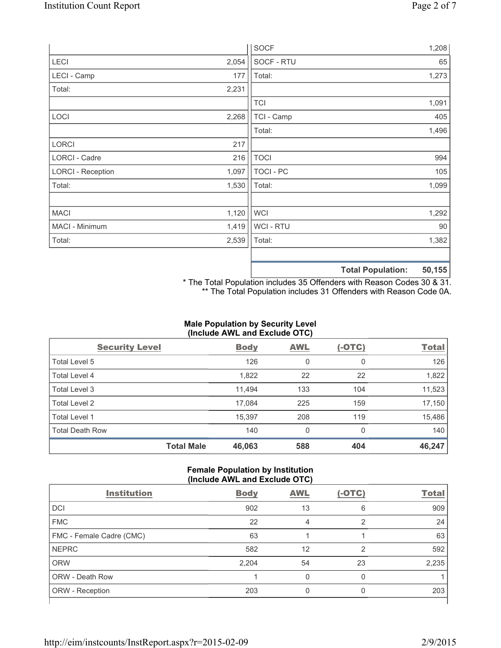|                          |       | <b>SOCF</b>      | 1,208                                   |
|--------------------------|-------|------------------|-----------------------------------------|
| <b>LECI</b>              | 2,054 | SOCF - RTU       | 65                                      |
| LECI - Camp              | 177   | Total:           | 1,273                                   |
| Total:                   | 2,231 |                  |                                         |
|                          |       | <b>TCI</b>       | 1,091                                   |
| LOCI                     | 2,268 | TCI - Camp       | 405                                     |
|                          |       | Total:           | 1,496                                   |
| <b>LORCI</b>             | 217   |                  |                                         |
| LORCI - Cadre            | 216   | <b>TOCI</b>      | 994                                     |
| <b>LORCI - Reception</b> | 1,097 | <b>TOCI - PC</b> | 105                                     |
| Total:                   | 1,530 | Total:           | 1,099                                   |
|                          |       |                  |                                         |
| <b>MACI</b>              | 1,120 | <b>WCI</b>       | 1,292                                   |
| MACI - Minimum           | 1,419 | WCI - RTU        | 90                                      |
| Total:                   | 2,539 | Total:           | 1,382                                   |
|                          |       |                  |                                         |
|                          |       |                  | $P^{\wedge}$ $AP$<br>天下 ちょうし あいしょうしょうしん |

**Total Population: 50,155**

\* The Total Population includes 35 Offenders with Reason Codes 30 & 31. \*\* The Total Population includes 31 Offenders with Reason Code 0A.

# **Male Population by Security Level (Include AWL and Exclude OTC)**

| <b>Security Level</b>  |                   | <b>Body</b> | <b>AWL</b> | $(-OTC)$ | <b>Total</b> |
|------------------------|-------------------|-------------|------------|----------|--------------|
| Total Level 5          |                   | 126         | 0          | 0        | 126          |
| Total Level 4          |                   | 1,822       | 22         | 22       | 1,822        |
| Total Level 3          |                   | 11.494      | 133        | 104      | 11,523       |
| Total Level 2          |                   | 17,084      | 225        | 159      | 17,150       |
| Total Level 1          |                   | 15,397      | 208        | 119      | 15,486       |
| <b>Total Death Row</b> |                   | 140         | 0          | $\Omega$ | 140          |
|                        | <b>Total Male</b> | 46,063      | 588        | 404      | 46,247       |

#### **Female Population by Institution (Include AWL and Exclude OTC)**

| <b>Institution</b>       | <b>Body</b> | <b>AWL</b> | $(-OTC)$ | <b>Total</b> |
|--------------------------|-------------|------------|----------|--------------|
| <b>DCI</b>               | 902         | 13         | 6        | 909          |
| <b>FMC</b>               | 22          | 4          | っ        | 24           |
| FMC - Female Cadre (CMC) | 63          |            |          | 63           |
| <b>NEPRC</b>             | 582         | 12         | 2        | 592          |
| <b>ORW</b>               | 2,204       | 54         | 23       | 2,235        |
| <b>ORW - Death Row</b>   |             | 0          | 0        |              |
| ORW - Reception          | 203         |            | 0        | 203          |
|                          |             |            |          |              |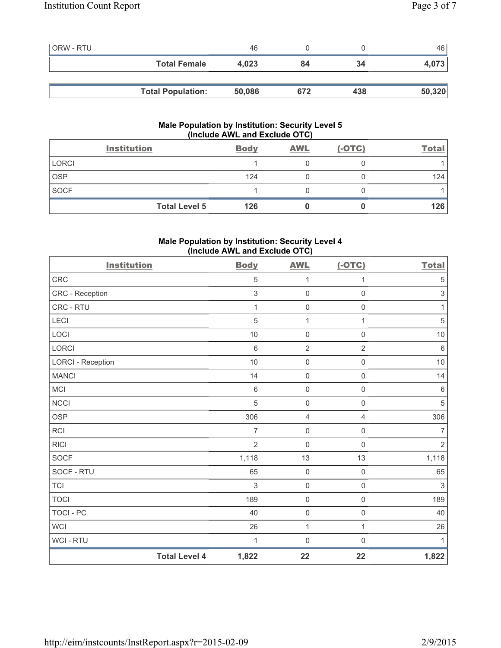| <b>ORW - RTU</b> |                          | 46     |     |     | 46 I   |
|------------------|--------------------------|--------|-----|-----|--------|
|                  | <b>Total Female</b>      | 4,023  | 84  | 34  | 4,073  |
|                  |                          |        |     |     |        |
|                  | <b>Total Population:</b> | 50,086 | 672 | 438 | 50,320 |

# **Male Population by Institution: Security Level 5 (Include AWL and Exclude OTC)**

|              | <b>Institution</b>   | <b>Body</b> | <b>AWL</b> | $(-OTC)$ | Total |
|--------------|----------------------|-------------|------------|----------|-------|
| <b>LORCI</b> |                      |             |            |          |       |
| <b>OSP</b>   |                      | 124         |            |          | 124   |
| <b>SOCF</b>  |                      |             |            |          |       |
|              | <b>Total Level 5</b> | 126         |            |          | 126   |

# **Male Population by Institution: Security Level 4 (Include AWL and Exclude OTC)**

| <b>Institution</b>       |                      | <b>Body</b>    | <b>AWL</b>          | $(-OTC)$            | <b>Total</b>              |
|--------------------------|----------------------|----------------|---------------------|---------------------|---------------------------|
| <b>CRC</b>               |                      | 5              | 1                   | 1                   | $\sqrt{5}$                |
| CRC - Reception          |                      | 3              | $\mathbf 0$         | $\mathbf 0$         | $\ensuremath{\mathsf{3}}$ |
| CRC - RTU                |                      | 1              | $\mathbf 0$         | $\mathbf 0$         | 1                         |
| <b>LECI</b>              |                      | 5              | 1                   | 1                   | $\sqrt{5}$                |
| LOCI                     |                      | 10             | $\mathsf{O}\xspace$ | $\mathsf{O}\xspace$ | $10$                      |
| <b>LORCI</b>             |                      | 6              | $\overline{2}$      | $\overline{2}$      | $\,6\,$                   |
| <b>LORCI - Reception</b> |                      | 10             | $\mathsf{O}\xspace$ | $\mathsf{O}\xspace$ | $10$                      |
| <b>MANCI</b>             |                      | 14             | $\mathsf 0$         | $\mathsf{O}\xspace$ | 14                        |
| <b>MCI</b>               |                      | $\,6\,$        | $\mathsf 0$         | $\mathsf{O}\xspace$ | $\,6\,$                   |
| <b>NCCI</b>              |                      | 5              | $\mathsf{O}\xspace$ | $\mathsf{O}\xspace$ | $\sqrt{5}$                |
| <b>OSP</b>               |                      | 306            | $\overline{4}$      | $\overline{4}$      | 306                       |
| <b>RCI</b>               |                      | $\overline{7}$ | $\mathbf 0$         | $\mathsf{O}\xspace$ | $\overline{7}$            |
| <b>RICI</b>              |                      | $\overline{2}$ | $\mathsf{O}\xspace$ | $\mathsf{O}\xspace$ | $\overline{2}$            |
| <b>SOCF</b>              |                      | 1,118          | 13                  | 13                  | 1,118                     |
| SOCF - RTU               |                      | 65             | $\mathsf 0$         | $\mathsf{O}\xspace$ | 65                        |
| <b>TCI</b>               |                      | $\mathfrak{S}$ | $\mathsf{O}\xspace$ | $\mathsf 0$         | $\sqrt{3}$                |
| <b>TOCI</b>              |                      | 189            | $\mathsf 0$         | $\mathsf{O}\xspace$ | 189                       |
| <b>TOCI - PC</b>         |                      | 40             | $\mathbf 0$         | $\mathsf{O}\xspace$ | 40                        |
| <b>WCI</b>               |                      | 26             | 1                   | 1                   | 26                        |
| WCI - RTU                |                      | 1              | 0                   | $\mathsf{O}\xspace$ | 1                         |
|                          | <b>Total Level 4</b> | 1,822          | 22                  | 22                  | 1,822                     |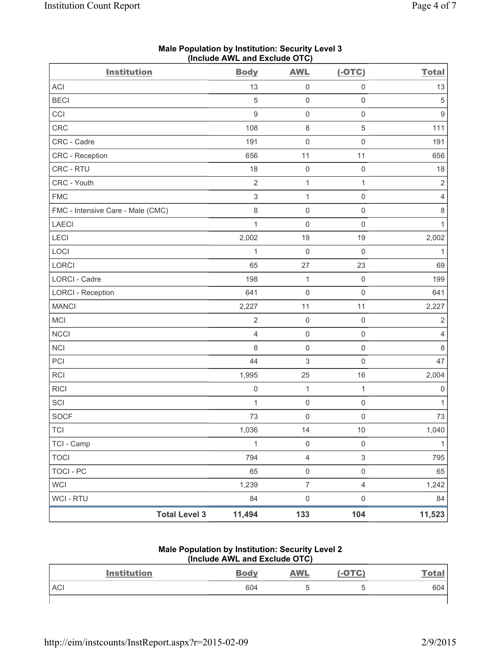| <b>Institution</b>                | $($ nolddo Affe and Exolddo O $\overline{O}$<br><b>Body</b> | <b>AWL</b>          | $(-OTC)$            | <b>Total</b>        |
|-----------------------------------|-------------------------------------------------------------|---------------------|---------------------|---------------------|
| ACI                               | 13                                                          | $\mathsf{O}\xspace$ | $\mathsf 0$         | 13                  |
| <b>BECI</b>                       | $\sqrt{5}$                                                  | $\mathsf{O}\xspace$ | $\mathsf 0$         | $\,$ 5 $\,$         |
| CCI                               | 9                                                           | $\mathsf{O}\xspace$ | $\mathsf{O}\xspace$ | $\mathsf g$         |
| <b>CRC</b>                        | 108                                                         | $\,8\,$             | $\sqrt{5}$          | 111                 |
| CRC - Cadre                       | 191                                                         | $\mathsf{O}\xspace$ | $\mathsf{O}\xspace$ | 191                 |
| CRC - Reception                   | 656                                                         | 11                  | 11                  | 656                 |
| CRC - RTU                         | 18                                                          | $\mathsf 0$         | $\mathsf 0$         | $18$                |
| CRC - Youth                       | $\sqrt{2}$                                                  | $\mathbf 1$         | $\mathbf{1}$        | $\mathbf 2$         |
| <b>FMC</b>                        | $\,$ 3 $\,$                                                 | $\mathbf{1}$        | $\mathsf 0$         | $\overline{4}$      |
| FMC - Intensive Care - Male (CMC) | 8                                                           | $\mathsf{O}\xspace$ | $\mathsf 0$         | $\,8\,$             |
| <b>LAECI</b>                      | $\mathbf{1}$                                                | $\mathsf{O}\xspace$ | $\mathsf 0$         | $\mathbf{1}$        |
| LECI                              | 2,002                                                       | 19                  | 19                  | 2,002               |
| LOCI                              | 1                                                           | $\mathsf{O}\xspace$ | $\mathsf 0$         | $\mathbf{1}$        |
| LORCI                             | 65                                                          | 27                  | 23                  | 69                  |
| LORCI - Cadre                     | 198                                                         | $\mathbf 1$         | $\mathsf 0$         | 199                 |
| <b>LORCI - Reception</b>          | 641                                                         | $\mathsf{O}\xspace$ | $\mathsf 0$         | 641                 |
| <b>MANCI</b>                      | 2,227                                                       | 11                  | 11                  | 2,227               |
| MCI                               | $\sqrt{2}$                                                  | $\mathsf{O}\xspace$ | $\mathsf 0$         | $\sqrt{2}$          |
| <b>NCCI</b>                       | $\overline{4}$                                              | $\mathsf{O}\xspace$ | $\mathsf 0$         | $\overline{4}$      |
| NCI                               | 8                                                           | $\mathsf{O}\xspace$ | $\mathsf 0$         | 8                   |
| PCI                               | 44                                                          | 3                   | $\mathsf{O}\xspace$ | 47                  |
| <b>RCI</b>                        | 1,995                                                       | 25                  | 16                  | 2,004               |
| <b>RICI</b>                       | $\mathsf 0$                                                 | $\mathbf{1}$        | $\mathbf{1}$        | $\mathsf{O}\xspace$ |
| SCI                               | $\mathbf{1}$                                                | $\mathsf{O}\xspace$ | $\mathsf 0$         | $\mathbf{1}$        |
| <b>SOCF</b>                       | 73                                                          | $\mathsf 0$         | $\mathsf{O}\xspace$ | 73                  |
| <b>TCI</b>                        | 1,036                                                       | 14                  | $10$                | 1,040               |
| TCI - Camp                        | $\mathbf{1}$                                                | $\mathsf 0$         | $\mathsf{O}\xspace$ | $\mathbf{1}$        |
| <b>TOCI</b>                       | 794                                                         | $\overline{4}$      | $\mathfrak{S}$      | 795                 |
| <b>TOCI - PC</b>                  | 65                                                          | $\mathsf{O}\xspace$ | $\mathsf{O}\xspace$ | 65                  |
| <b>WCI</b>                        | 1,239                                                       | $\overline{7}$      | $\overline{4}$      | 1,242               |
| WCI - RTU                         | 84                                                          | $\mathsf{O}\xspace$ | $\mathsf 0$         | 84                  |
| <b>Total Level 3</b>              | 11,494                                                      | 133                 | 104                 | 11,523              |

# **Male Population by Institution: Security Level 3 (Include AWL and Exclude OTC)**

#### **Male Population by Institution: Security Level 2 (Include AWL and Exclude OTC)**

|            | <b>Institution</b> | <b>Body</b> | <b>AWL</b> | $(-OTC)$ | <u>Total</u> |
|------------|--------------------|-------------|------------|----------|--------------|
| <b>ACI</b> |                    | 604         |            |          | 604          |
|            |                    |             |            |          |              |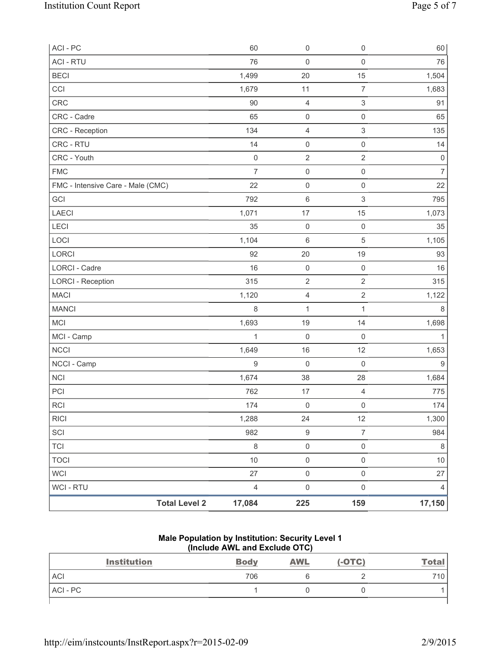| ACI - PC                          | 60             | 0                   | $\mathsf{O}\xspace$ | 60                  |
|-----------------------------------|----------------|---------------------|---------------------|---------------------|
| <b>ACI - RTU</b>                  | 76             | $\mathsf{O}\xspace$ | $\mathsf 0$         | 76                  |
| <b>BECI</b>                       | 1,499          | 20                  | 15                  | 1,504               |
| CCI                               | 1,679          | 11                  | $\overline{7}$      | 1,683               |
| CRC                               | 90             | 4                   | 3                   | 91                  |
| CRC - Cadre                       | 65             | $\mathsf{O}\xspace$ | $\mathsf{O}\xspace$ | 65                  |
| <b>CRC</b> - Reception            | 134            | $\overline{4}$      | $\mathsf 3$         | 135                 |
| CRC - RTU                         | 14             | $\mathsf{O}\xspace$ | $\mathsf{O}\xspace$ | 14                  |
| CRC - Youth                       | $\mathbf 0$    | $\mathbf 2$         | $\overline{2}$      | $\mathsf{O}\xspace$ |
| <b>FMC</b>                        | $\overline{7}$ | $\mathsf{O}\xspace$ | $\mathsf 0$         | $\overline{7}$      |
| FMC - Intensive Care - Male (CMC) | 22             | $\pmb{0}$           | $\mathsf{O}\xspace$ | 22                  |
| GCI                               | 792            | $\,6$               | 3                   | 795                 |
| <b>LAECI</b>                      | 1,071          | 17                  | 15                  | 1,073               |
| <b>LECI</b>                       | 35             | $\mathsf{O}\xspace$ | $\mathsf 0$         | 35                  |
| LOCI                              | 1,104          | $\,6$               | 5                   | 1,105               |
| LORCI                             | 92             | 20                  | 19                  | 93                  |
| LORCI - Cadre                     | 16             | $\mathsf{O}\xspace$ | $\mathsf 0$         | 16                  |
| <b>LORCI - Reception</b>          | 315            | $\overline{2}$      | $\overline{2}$      | 315                 |
| <b>MACI</b>                       | 1,120          | $\overline{4}$      | $\overline{2}$      | 1,122               |
| <b>MANCI</b>                      | 8              | $\mathbf 1$         | $\mathbf{1}$        | 8                   |
| MCI                               | 1,693          | 19                  | 14                  | 1,698               |
| MCI - Camp                        | $\mathbf{1}$   | $\mathsf{O}\xspace$ | $\mathsf 0$         | $\mathbf{1}$        |
| <b>NCCI</b>                       | 1,649          | 16                  | 12                  | 1,653               |
| NCCI - Camp                       | $9$            | 0                   | $\mathbf 0$         | 9                   |
| <b>NCI</b>                        | 1,674          | 38                  | 28                  | 1,684               |
| PCI                               | 762            | 17                  | $\overline{4}$      | 775                 |
| <b>RCI</b>                        | 174            | $\mathsf{O}\xspace$ | $\mathsf{O}\xspace$ | 174                 |
| <b>RICI</b>                       | 1,288          | 24                  | 12                  | 1,300               |
| SCI                               | 982            | $\boldsymbol{9}$    | $\overline{7}$      | 984                 |
| <b>TCI</b>                        | $\,8\,$        | $\mathsf{O}\xspace$ | $\mathsf{O}\xspace$ | $\,8\,$             |
| <b>TOCI</b>                       | 10             | $\mathsf{O}\xspace$ | $\mathsf{O}\xspace$ | 10                  |
| <b>WCI</b>                        | 27             | $\mathsf{O}\xspace$ | $\mathsf{O}\xspace$ | 27                  |
| <b>WCI - RTU</b>                  | $\overline{4}$ | $\mathsf{O}\xspace$ | $\mathsf{O}\xspace$ | $\overline{4}$      |
| <b>Total Level 2</b>              | 17,084         | 225                 | 159                 | 17,150              |

#### **Male Population by Institution: Security Level 1 (Include AWL and Exclude OTC)**

| <b>Institution</b> | <b>Body</b> | <b>AWL</b> | $(-OTC)$ | <b>Total</b> |
|--------------------|-------------|------------|----------|--------------|
| <b>ACI</b>         | 706         |            |          | 710.         |
| ACI - PC           |             |            |          |              |
|                    |             |            |          |              |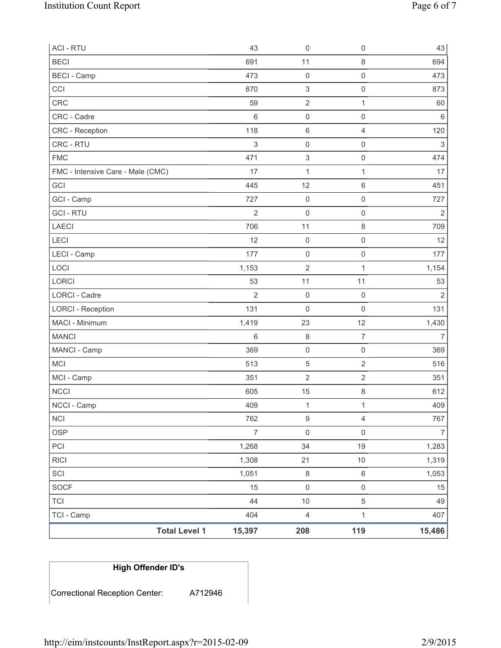| <b>ACI - RTU</b>                  | 43                       | $\mathsf{O}\xspace$       | $\mathsf 0$         | 43             |
|-----------------------------------|--------------------------|---------------------------|---------------------|----------------|
| <b>BECI</b>                       | 691                      | 11                        | $\,8\,$             | 694            |
| <b>BECI</b> - Camp                | 473                      | $\mathsf{O}\xspace$       | $\mathbf 0$         | 473            |
| CCI                               | 870                      | 3                         | $\mathsf 0$         | 873            |
| CRC                               | 59                       | $\overline{2}$            | 1                   | 60             |
| CRC - Cadre                       | $6\,$                    | $\mathsf{O}\xspace$       | $\mathsf 0$         | $6\,$          |
| <b>CRC</b> - Reception            | 118                      | $\,6\,$                   | $\overline{4}$      | 120            |
| CRC - RTU                         | $\sqrt{3}$               | $\mathsf{O}\xspace$       | $\mathsf 0$         | 3              |
| <b>FMC</b>                        | 471                      | $\ensuremath{\mathsf{3}}$ | $\mathsf{O}\xspace$ | 474            |
| FMC - Intensive Care - Male (CMC) | 17                       | $\mathbf 1$               | 1                   | 17             |
| GCI                               | 445                      | 12                        | $\,6\,$             | 451            |
| GCI - Camp                        | 727                      | $\mathsf{O}\xspace$       | $\mathbf 0$         | 727            |
| <b>GCI - RTU</b>                  | $\overline{2}$           | 0                         | $\mathsf 0$         | $\overline{2}$ |
| <b>LAECI</b>                      | 706                      | 11                        | $\,8\,$             | 709            |
| LECI                              | 12                       | $\mathsf{O}\xspace$       | $\mathsf 0$         | 12             |
| LECI - Camp                       | 177                      | $\mathsf{O}\xspace$       | $\mathsf{O}\xspace$ | 177            |
| LOCI                              | 1,153                    | $\overline{2}$            | $\mathbf{1}$        | 1,154          |
| LORCI                             | 53                       | 11                        | 11                  | 53             |
| <b>LORCI - Cadre</b>              | $\overline{2}$           | $\mathbf 0$               | $\mathsf 0$         | $\overline{2}$ |
| <b>LORCI - Reception</b>          | 131                      | $\mathbf 0$               | $\mathsf 0$         | 131            |
| MACI - Minimum                    | 1,419                    | 23                        | 12                  | 1,430          |
| <b>MANCI</b>                      | 6                        | $\,8\,$                   | $\overline{7}$      | $\overline{7}$ |
| MANCI - Camp                      | 369                      | $\mathsf 0$               | $\mathbf 0$         | 369            |
| MCI                               | 513                      | $\,$ 5 $\,$               | $\sqrt{2}$          | 516            |
| MCI - Camp                        | 351                      | $\sqrt{2}$                | $\sqrt{2}$          | 351            |
| <b>NCCI</b>                       | 605                      | 15                        | $\,8\,$             | 612            |
| NCCI - Camp                       | 409                      | $\mathbf 1$               | $\mathbf{1}$        | 409            |
| <b>NCI</b>                        | 762                      | $\boldsymbol{9}$          | $\overline{4}$      | 767            |
| <b>OSP</b>                        | $\overline{\mathcal{I}}$ | $\mathsf{O}\xspace$       | $\mathsf{O}\xspace$ | $\overline{7}$ |
| PCI                               | 1,268                    | 34                        | 19                  | 1,283          |
| <b>RICI</b>                       | 1,308                    | 21                        | $10$                | 1,319          |
| SCI                               | 1,051                    | $\,8\,$                   | $\,6\,$             | 1,053          |
| <b>SOCF</b>                       | 15                       | $\mathsf 0$               | $\mathsf 0$         | 15             |
| <b>TCI</b>                        | 44                       | $10$                      | 5                   | 49             |
| TCI - Camp                        | 404                      | $\overline{\mathbf{4}}$   | 1                   | 407            |
| <b>Total Level 1</b>              | 15,397                   | 208                       | 119                 | 15,486         |

| <b>High Offender ID's</b> |  |  |  |  |
|---------------------------|--|--|--|--|
|                           |  |  |  |  |
|                           |  |  |  |  |

Correctional Reception Center: A712946